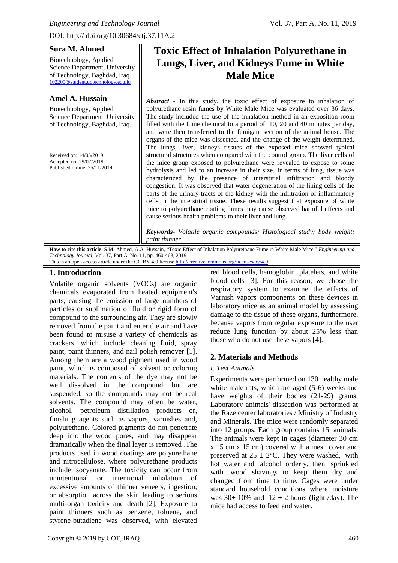Biotechnology, Applied Science Department, University of Technology, Baghdad, Iraq. [102200@student.uotechnology.edu.iq](mailto:102200@student.uotechnology.edu.iq)

## **Amel A. Hussain**

Biotechnology, Applied Science Department, University of Technology, Baghdad, Iraq.

Received on: 14/05/2019 Accepted on: 29/07/2019 Published online: 25/11/2019

# **Toxic Effect of Inhalation Polyurethane in Lungs, Liver, and Kidneys Fume in White Male Mice**

*Abstract* - In this study, the toxic effect of exposure to inhalation of polyurethane resin fumes by White Male Mice was evaluated over 36 days. The study included the use of the inhalation method in an exposition room filled with the fume chemical to a period of 10, 20 and 40 minutes per day, and were then transferred to the fumigant section of the animal house. The organs of the mice was dissected, and the change of the weight determined. The lungs, liver, kidneys tissues of the exposed mice showed typical structural structures when compared with the control group. The liver cells of the mice group exposed to polyurethane were revealed to expose to some hydrolysis and led to an increase in their size. In terms of lung, tissue was characterized by the presence of interstitial infiltration and bloody congestion. It was observed that water degeneration of the lining cells of the parts of the urinary tracts of the kidney with the infiltration of inflammatory cells in the interstitial tissue. These results suggest that exposure of white mice to polyurethane coating fumes may cause observed harmful effects and cause serious health problems to their liver and lung*.*

*Keywords- Volatile organic compounds; Histological study; body weight; paint thinner.*

**How to cite this article**: S.M. Ahmed, A.A. Hussain, "Toxic Effect of Inhalation Polyurethane Fume in White Male Mice," *Engineering and Technology Journal*, Vol. 37, Part A, No. 11, pp. 460-463, 2019

# This is an open access article under the CC BY 4.0 license<http://creativecommons.org/licenses/by/4.0>

## **1. Introduction**

Volatile organic solvents (VOCs) are organic chemicals evaporated from heated equipment's parts, causing the emission of large numbers of particles or sublimation of fluid or rigid form of compound to the surrounding air. They are slowly removed from the paint and enter the air and have been found to misuse a variety of chemicals as crackers, which include cleaning fluid, spray paint, paint thinners, and nail polish remover [1]. Among them are a wood pigment used in wood paint, which is composed of solvent or coloring materials. The contents of the dye may not be well dissolved in the compound, but are suspended, so the compounds may not be real solvents. The compound may often be water, alcohol, petroleum distillation products or, finishing agents such as vapors, varnishes and, polyurethane. Colored pigments do not penetrate deep into the wood pores, and may disappear dramatically when the final layer is removed .The products used in wood coatings are polyurethane and nitrocellulose, where polyurethane products include isocyanate. The toxicity can occur from unintentional or intentional inhalation of excessive amounts of thinner veneers, ingestion, or absorption across the skin leading to serious multi-organ toxicity and death [2]. Exposure to paint thinners such as benzene, toluene, and styrene-butadiene was observed, with elevated

red blood cells, hemoglobin, platelets, and white blood cells [3]. For this reason, we chose the respiratory system to examine the effects of Varnish vapors components on these devices in laboratory mice as an animal model by assessing damage to the tissue of these organs, furthermore, because vapors from regular exposure to the user reduce lung function by about 25% less than those who do not use these vapors [4].

# **2***.* **Materials and Methods**

#### *I. Test Animals*

Experiments were performed on 130 healthy male white male rats, which are aged (5-6) weeks and have weights of their bodies (21-29) grams. Laboratory animals' dissection was performed at the Raze center laboratories / Ministry of Industry and Minerals. The mice were randomly separated into 12 groups. Each group contains 15 animals. The animals were kept in cages (diameter 30 cm x 15 cm x 15 cm) covered with a mesh cover and preserved at  $25 \pm 2$ °C. They were washed, with hot water and alcohol orderly, then sprinkled with, wood shavings to keep them dry and changed from time to time. Cages were under standard household conditions where moisture was  $30\pm 10\%$  and  $12 \pm 2$  hours (light /day). The mice had access to feed and water.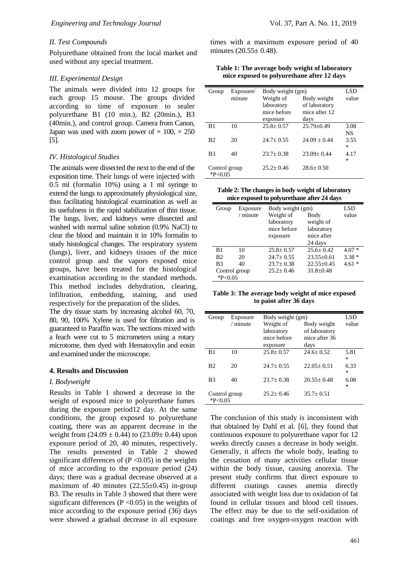#### *II. Test Compounds*

Polyurethane obtained from the local market and used without any special treatment.

#### *III. Experimental Design*

The animals were divided into 12 groups for each group 15 mouse. The groups divided according to time of exposure to sealer polyurethane B1 (10 min.), B2 (20min.), B3 (40min.), and control group. Camera from Canon, Japan was used with zoom power of  $\times$  100,  $\times$  250 [5].

#### *IV. Histological Studies*

The animals were dissected the next to the end of the exposition time. Their lungs of were injected with 0.5 ml (formalin 10%) using a 1 ml syringe to extend the lungs to approximately physiological size, thus facilitating histological examination as well as its usefulness in the rapid stabilization of thin tissue. The lungs, liver, and kidneys were dissected and washed with normal saline solution (0.9% NaCl) to clear the blood and maintain it in 10% formalin to study histological changes. The respiratory system (lungs), liver, and kidneys tissues of the mice control group and the vapors exposed mice groups, have been treated for the histological examination according to the standard methods. This method includes dehydration, clearing, infiltration, embedding, staining, and used respectively for the preparation of the slides.

The dry tissue starts by increasing alcohol 60, 70, 80, 90, 100% Xylene is used for filtration and is guaranteed in Paraffin wax. The sections mixed with a feach were cut to 5 micrometers using a rotary microtome, then dyed with Hematoxylin and eosin and examined under the microscope.

#### **4. Results and Discussion**

#### *I. Bodyweight*

Results in Table 1 showed a decrease in the weight of exposed mice to polyurethane fumes during the exposure period12 day. At the same conditions, the group exposed to polyurethane coating, there was an apparent decrease in the weight from  $(24.09 \pm 0.44)$  to  $(23.09 \pm 0.44)$  upon exposure period of 20, 40 minutes, respectively. The results presented in Table 2 showed significant differences of  $(P \le 0.05)$  in the weights of mice according to the exposure period (24) days; there was a gradual decrease observed at a maximum of 40 minutes  $(22.55\pm0.45)$  in-group B3. The results in Table 3 showed that there were significant differences ( $P \le 0.05$ ) in the weights of mice according to the exposure period (36) days were showed a gradual decrease in all exposure times with a maximum exposure period of 40 minutes (20.55± 0.48).

**Table 1: The average body weight of laboratory mice exposed to polyurethane after 12 days**

| Group                 | Exposure/ | Body weight (gm) |                  | LSD       |
|-----------------------|-----------|------------------|------------------|-----------|
|                       | minute    | Weight of        | Body weight      | value     |
|                       |           | laboratory       | of laboratory    |           |
|                       |           | mice before      | mice after 12    |           |
|                       |           | exposure         | days             |           |
| B1                    | 10        | $25.8 \pm 0.57$  | $25.79 \pm 0.49$ | 3.08      |
|                       |           |                  |                  | <b>NS</b> |
| <b>B</b> <sub>2</sub> | 20        | $24.7 + 0.55$    | $24.09 + 0.44$   | 3.55      |
|                       |           |                  |                  | *         |
| B <sub>3</sub>        | 40        | $23.7 \pm 0.38$  | $23.09 + 0.44$   | 4.17      |
|                       |           |                  |                  | $\ast$    |
| Control group         |           | $25.2 + 0.46$    | $28.6 + 0.50$    |           |
| $*P<0.05$             |           |                  |                  |           |

**Table 2: The changes in body weight of laboratory mice exposed to polyurethane after 24 days**

| Group                                                                | Exposure<br>$/$ minute | Body weight (gm)<br>Weight of<br>laboratory<br>mice before<br>exposure | Body<br>weight of<br>laboratory<br>mice after<br>24 days       | LSD<br>value                  |
|----------------------------------------------------------------------|------------------------|------------------------------------------------------------------------|----------------------------------------------------------------|-------------------------------|
| B1<br>B <sub>2</sub><br>B <sub>3</sub><br>Control group<br>$*P<0.05$ | 10<br>20<br>40         | $25.8 + 0.57$<br>$24.7 \pm 0.55$<br>$23.7 + 0.38$<br>$25.2 + 0.46$     | $25.6 + 0.42$<br>$23.55+0.61$<br>$22.55+0.45$<br>$31.8 + 0.48$ | $4.07*$<br>$3.38*$<br>$4.61*$ |

**Table 3: The average body weight of mice exposed to paint after 36 days**

| Group                 | Exposure   | Body weight (gm) |                | LSD   |
|-----------------------|------------|------------------|----------------|-------|
|                       | $/$ minute | Weight of        | Body weight    | value |
|                       |            | laboratory       | of laboratory  |       |
|                       |            | mice before      | mice after 36  |       |
|                       |            | exposure         | days           |       |
| B1                    | 10         | $25.8 + 0.57$    | $24.6 + 0.52$  | 5.81  |
|                       |            |                  |                | *     |
| <b>B</b> <sub>2</sub> | 20         | $24.7 + 0.55$    | $22.05 + 0.51$ | 6.33  |
|                       |            |                  |                | *     |
| B <sub>3</sub>        | 40         | $23.7 + 0.38$    | $20.55 + 0.48$ | 6.08  |
|                       |            |                  |                | *     |
| Control group         |            | $25.2 + 0.46$    | $35.7 + 0.51$  |       |
| $*P<0.05$             |            |                  |                |       |

The conclusion of this study is inconsistent with that obtained by Dahl et al. [6], they found that continuous exposure to polyurethane vapor for 12 weeks directly causes a decrease in body weight. Generally, it affects the whole body, leading to the cessation of many activities cellular tissue within the body tissue, causing anorexia. The present study confirms that direct exposure to different coatings causes anemia directly associated with weight loss due to oxidation of fat found in cellular tissues and blood cell tissues. The effect may be due to the self-oxidation of coatings and free oxygen-oxygen reaction with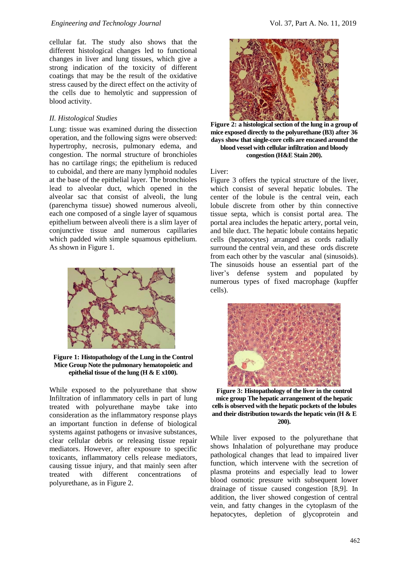cellular fat. The study also shows that the different histological changes led to functional changes in liver and lung tissues, which give a strong indication of the toxicity of different coatings that may be the result of the oxidative stress caused by the direct effect on the activity of the cells due to hemolytic and suppression of blood activity.

## *II. Histological Studies*

Lung: tissue was examined during the dissection operation, and the following signs were observed: hypertrophy, necrosis, pulmonary edema, and congestion. The normal structure of bronchioles has no cartilage rings; the epithelium is reduced to cuboidal, and there are many lymphoid nodules at the base of the epithelial layer. The bronchioles lead to alveolar duct, which opened in the alveolar sac that consist of alveoli, the lung (parenchyma tissue) showed numerous alveoli, each one composed of a single layer of squamous epithelium between alveoli there is a slim layer of conjunctive tissue and numerous capillaries which padded with simple squamous epithelium. As shown in Figure 1.



**Figure 1: Histopathology of the Lung in the Control Mice Group Note the pulmonary hematopoietic and epithelial tissue of the lung (H & E x100).**

While exposed to the polyurethane that show Infiltration of inflammatory cells in part of lung treated with polyurethane maybe take into consideration as the inflammatory response plays an important function in defense of biological systems against pathogens or invasive substances, clear cellular debris or releasing tissue repair mediators. However, after exposure to specific toxicants, inflammatory cells release mediators, causing tissue injury, and that mainly seen after treated with different concentrations of polyurethane, as in Figure 2.



**Figure 2: a histological section of the lung in a group of mice exposed directly to the polyurethane (B3) after 36 days show that single-core cells are encased around the blood vessel with cellular infiltration and bloody congestion (H&E Stain 200).**

### Liver:

Figure 3 offers the typical structure of the liver, which consist of several hepatic lobules. The center of the lobule is the central vein, each lobule discrete from other by thin connective tissue septa, which is consist portal area. The portal area includes the hepatic artery, portal vein, and bile duct. The hepatic lobule contains hepatic cells (hepatocytes) arranged as cords radially surround the central vein, and these ords discrete from each other by the vascular anal (sinusoids). The sinusoids house an essential part of the liver's defense system and populated by numerous types of fixed macrophage (kupffer cells).



**Figure 3: Histopathology of the liver in the control mice group The hepatic arrangement of the hepatic cells is observed with the hepatic pockets of the lobules and their distribution towards the hepatic vein (H & E 200).**

While liver exposed to the polyurethane that shows Inhalation of polyurethane may produce pathological changes that lead to impaired liver function, which intervene with the secretion of plasma proteins and especially lead to lower blood osmotic pressure with subsequent lower drainage of tissue caused congestion [8,9]. In addition, the liver showed congestion of central vein, and fatty changes in the cytoplasm of the hepatocytes, depletion of glycoprotein and